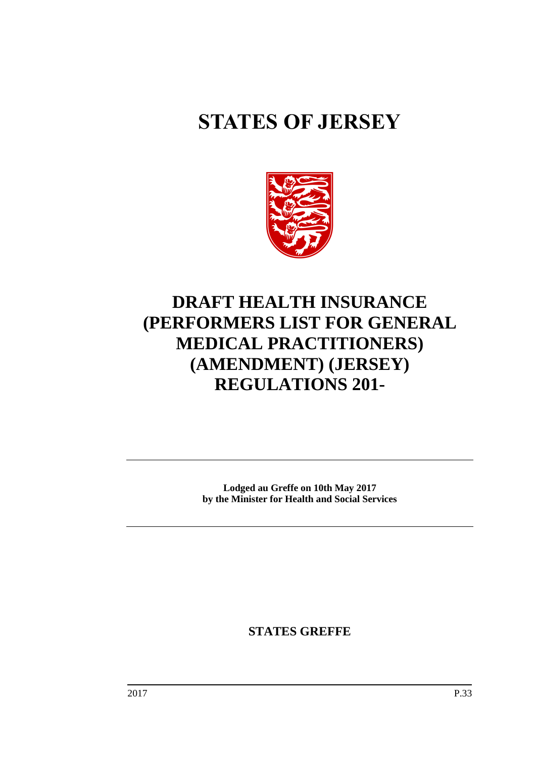# **STATES OF JERSEY**



## **DRAFT HEALTH INSURANCE (PERFORMERS LIST FOR GENERAL MEDICAL PRACTITIONERS) (AMENDMENT) (JERSEY) REGULATIONS 201-**

**Lodged au Greffe on 10th May 2017 by the Minister for Health and Social Services**

**STATES GREFFE**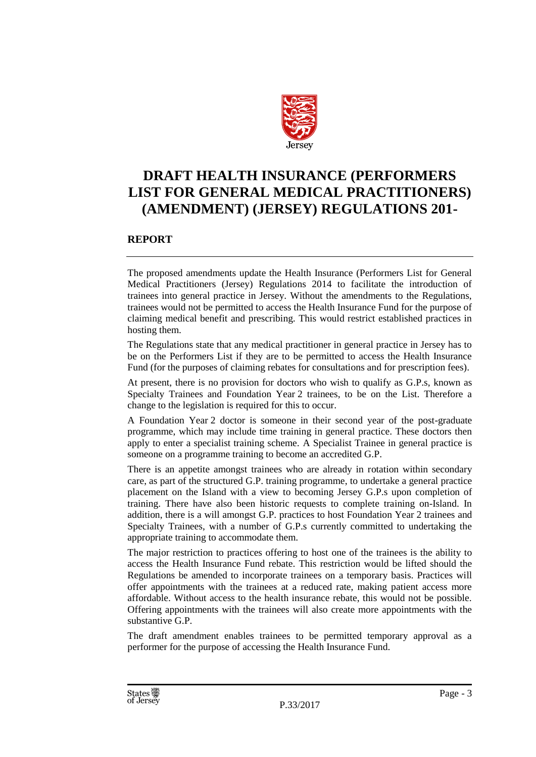

### **DRAFT HEALTH INSURANCE (PERFORMERS LIST FOR GENERAL MEDICAL PRACTITIONERS) (AMENDMENT) (JERSEY) REGULATIONS 201-**

#### **REPORT**

The proposed amendments update the Health Insurance (Performers List for General Medical Practitioners (Jersey) Regulations 2014 to facilitate the introduction of trainees into general practice in Jersey. Without the amendments to the Regulations, trainees would not be permitted to access the Health Insurance Fund for the purpose of claiming medical benefit and prescribing. This would restrict established practices in hosting them.

The Regulations state that any medical practitioner in general practice in Jersey has to be on the Performers List if they are to be permitted to access the Health Insurance Fund (for the purposes of claiming rebates for consultations and for prescription fees).

At present, there is no provision for doctors who wish to qualify as G.P.s, known as Specialty Trainees and Foundation Year 2 trainees, to be on the List. Therefore a change to the legislation is required for this to occur.

A Foundation Year 2 doctor is someone in their second year of the post-graduate programme, which may include time training in general practice. These doctors then apply to enter a specialist training scheme. A Specialist Trainee in general practice is someone on a programme training to become an accredited G.P.

There is an appetite amongst trainees who are already in rotation within secondary care, as part of the structured G.P. training programme, to undertake a general practice placement on the Island with a view to becoming Jersey G.P.s upon completion of training. There have also been historic requests to complete training on-Island. In addition, there is a will amongst G.P. practices to host Foundation Year 2 trainees and Specialty Trainees, with a number of G.P.s currently committed to undertaking the appropriate training to accommodate them.

The major restriction to practices offering to host one of the trainees is the ability to access the Health Insurance Fund rebate. This restriction would be lifted should the Regulations be amended to incorporate trainees on a temporary basis. Practices will offer appointments with the trainees at a reduced rate, making patient access more affordable. Without access to the health insurance rebate, this would not be possible. Offering appointments with the trainees will also create more appointments with the substantive G.P.

The draft amendment enables trainees to be permitted temporary approval as a performer for the purpose of accessing the Health Insurance Fund.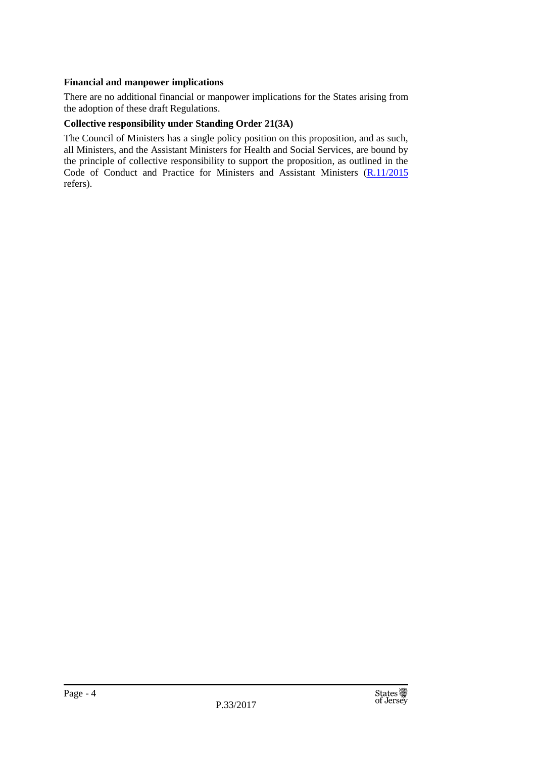#### **Financial and manpower implications**

There are no additional financial or manpower implications for the States arising from the adoption of these draft Regulations.

#### **Collective responsibility under Standing Order 21(3A)**

The Council of Ministers has a single policy position on this proposition, and as such, all Ministers, and the Assistant Ministers for Health and Social Services, are bound by the principle of collective responsibility to support the proposition, as outlined in the Code of Conduct and Practice for Ministers and Assistant Ministers [\(R.11/2015](http://www.statesassembly.gov.je/AssemblyReports/2015/R.11-2015.pdf) refers).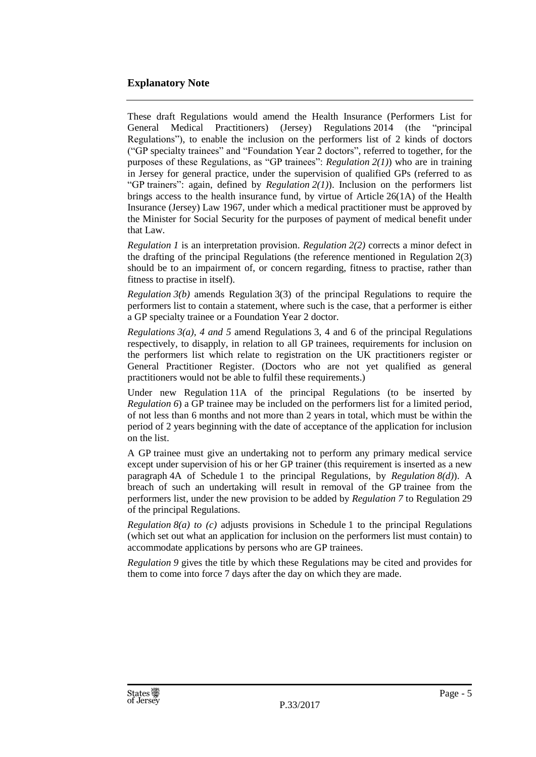#### **Explanatory Note**

These draft Regulations would amend the Health Insurance (Performers List for General Medical Practitioners) (Jersey) Regulations 2014 (the "principal Regulations"), to enable the inclusion on the performers list of 2 kinds of doctors ("GP specialty trainees" and "Foundation Year 2 doctors", referred to together, for the purposes of these Regulations, as "GP trainees": *Regulation 2(1)*) who are in training in Jersey for general practice, under the supervision of qualified GPs (referred to as "GP trainers": again, defined by *Regulation 2(1)*). Inclusion on the performers list brings access to the health insurance fund, by virtue of Article 26(1A) of the Health Insurance (Jersey) Law 1967, under which a medical practitioner must be approved by the Minister for Social Security for the purposes of payment of medical benefit under that Law.

*Regulation 1* is an interpretation provision. *Regulation 2(2)* corrects a minor defect in the drafting of the principal Regulations (the reference mentioned in Regulation 2(3) should be to an impairment of, or concern regarding, fitness to practise, rather than fitness to practise in itself).

*Regulation 3(b)* amends Regulation 3(3) of the principal Regulations to require the performers list to contain a statement, where such is the case, that a performer is either a GP specialty trainee or a Foundation Year 2 doctor.

*Regulations 3(a), 4 and 5* amend Regulations 3, 4 and 6 of the principal Regulations respectively, to disapply, in relation to all GP trainees, requirements for inclusion on the performers list which relate to registration on the UK practitioners register or General Practitioner Register. (Doctors who are not yet qualified as general practitioners would not be able to fulfil these requirements.)

Under new Regulation 11A of the principal Regulations (to be inserted by *Regulation* 6) a GP trainee may be included on the performers list for a limited period, of not less than 6 months and not more than 2 years in total, which must be within the period of 2 years beginning with the date of acceptance of the application for inclusion on the list.

A GP trainee must give an undertaking not to perform any primary medical service except under supervision of his or her GP trainer (this requirement is inserted as a new paragraph 4A of Schedule 1 to the principal Regulations, by *Regulation 8(d)*). A breach of such an undertaking will result in removal of the GP trainee from the performers list, under the new provision to be added by *Regulation 7* to Regulation 29 of the principal Regulations.

*Regulation 8(a) to (c)* adjusts provisions in Schedule 1 to the principal Regulations (which set out what an application for inclusion on the performers list must contain) to accommodate applications by persons who are GP trainees.

*Regulation 9* gives the title by which these Regulations may be cited and provides for them to come into force 7 days after the day on which they are made.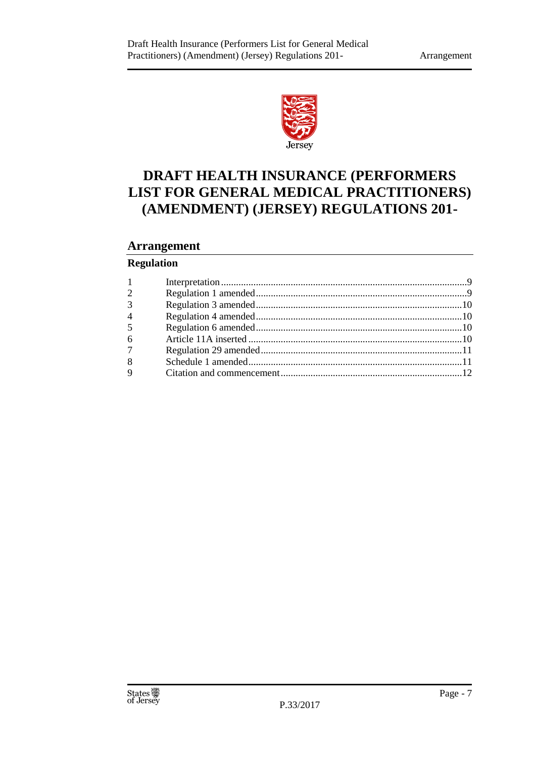

## **DRAFT HEALTH INSURANCE (PERFORMERS LIST FOR GENERAL MEDICAL PRACTITIONERS) (AMENDMENT) (JERSEY) REGULATIONS 201-**

#### **Arrangement**

#### **Regulation**

| 1              |  |
|----------------|--|
| $\overline{2}$ |  |
| 3              |  |
| $\overline{4}$ |  |
| 5              |  |
| 6              |  |
| 7 <sup>7</sup> |  |
| 8              |  |
| $\mathbf Q$    |  |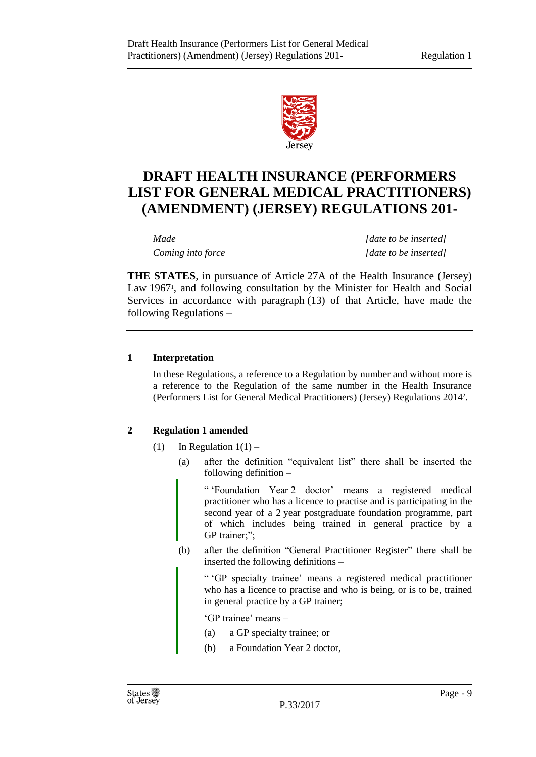

## **DRAFT HEALTH INSURANCE (PERFORMERS LIST FOR GENERAL MEDICAL PRACTITIONERS) (AMENDMENT) (JERSEY) REGULATIONS 201-**

*Made [date to be inserted] Coming into force [date to be inserted]*

**THE STATES**, in pursuance of Article 27A of the Health Insurance (Jersey) Law 1967<sup>1</sup>, and following consultation by the Minister for Health and Social Services in accordance with paragraph (13) of that Article, have made the following Regulations –

#### <span id="page-8-0"></span>**1 Interpretation**

In these Regulations, a reference to a Regulation by number and without more is a reference to the Regulation of the same number in the Health Insurance (Performers List for General Medical Practitioners) (Jersey) Regulations 2014<sup>2</sup> .

#### <span id="page-8-1"></span>**2 Regulation 1 amended**

- (1) In Regulation  $1(1)$ 
	- (a) after the definition "equivalent list" there shall be inserted the following definition –

" 'Foundation Year 2 doctor' means a registered medical practitioner who has a licence to practise and is participating in the second year of a 2 year postgraduate foundation programme, part of which includes being trained in general practice by a GP trainer;";

(b) after the definition "General Practitioner Register" there shall be inserted the following definitions –

" 'GP specialty trainee' means a registered medical practitioner who has a licence to practise and who is being, or is to be, trained in general practice by a GP trainer;

'GP trainee' means –

- (a) a GP specialty trainee; or
- (b) a Foundation Year 2 doctor,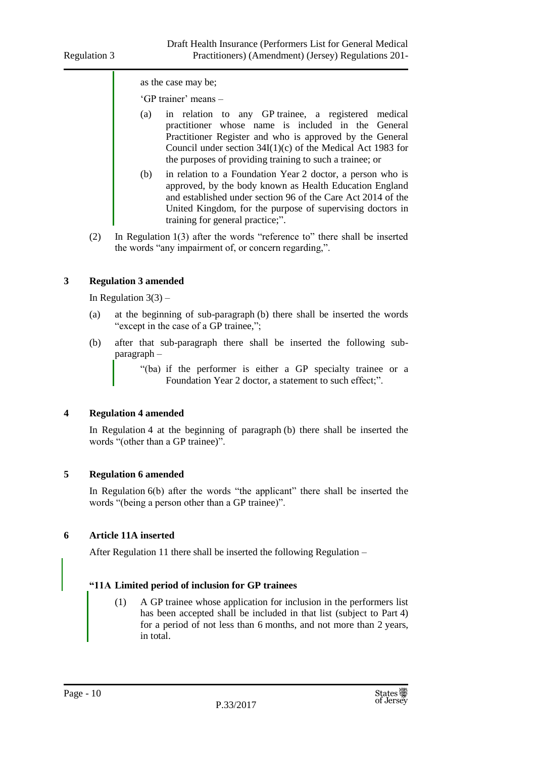as the case may be;

'GP trainer' means –

- (a) in relation to any GP trainee, a registered medical practitioner whose name is included in the General Practitioner Register and who is approved by the General Council under section 34I(1)(c) of the Medical Act 1983 for the purposes of providing training to such a trainee; or
- (b) in relation to a Foundation Year 2 doctor, a person who is approved, by the body known as Health Education England and established under section 96 of the Care Act 2014 of the United Kingdom, for the purpose of supervising doctors in training for general practice;".
- (2) In Regulation 1(3) after the words "reference to" there shall be inserted the words "any impairment of, or concern regarding,".

#### <span id="page-9-0"></span>**3 Regulation 3 amended**

In Regulation  $3(3)$  –

- (a) at the beginning of sub-paragraph (b) there shall be inserted the words "except in the case of a GP trainee,";
- (b) after that sub-paragraph there shall be inserted the following subparagraph –

"(ba) if the performer is either a GP specialty trainee or a Foundation Year 2 doctor, a statement to such effect;".

#### <span id="page-9-1"></span>**4 Regulation 4 amended**

In Regulation 4 at the beginning of paragraph (b) there shall be inserted the words "(other than a GP trainee)".

#### <span id="page-9-2"></span>**5 Regulation 6 amended**

In Regulation 6(b) after the words "the applicant" there shall be inserted the words "(being a person other than a GP trainee)".

#### <span id="page-9-3"></span>**6 Article 11A inserted**

After Regulation 11 there shall be inserted the following Regulation –

#### **"11A Limited period of inclusion for GP trainees**

(1) A GP trainee whose application for inclusion in the performers list has been accepted shall be included in that list (subject to Part 4) for a period of not less than 6 months, and not more than 2 years, in total.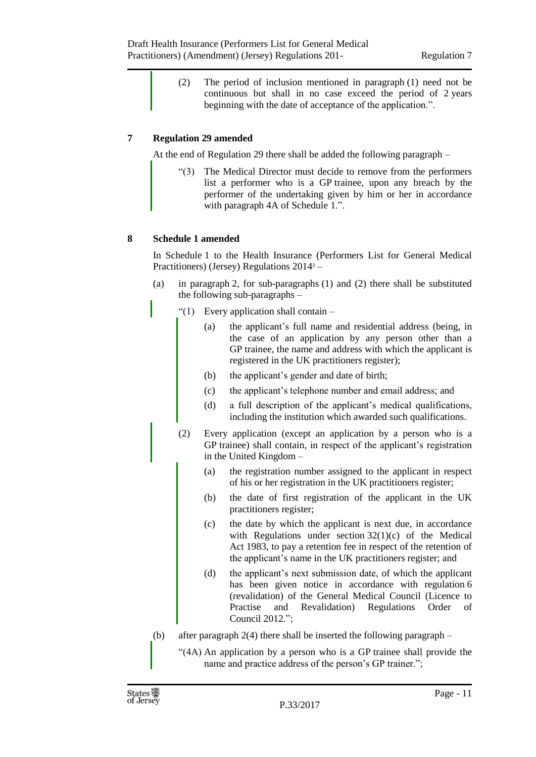(2) The period of inclusion mentioned in paragraph (1) need not be continuous but shall in no case exceed the period of 2 years beginning with the date of acceptance of the application.".

#### <span id="page-10-0"></span>**7 Regulation 29 amended**

At the end of Regulation 29 there shall be added the following paragraph –

"(3) The Medical Director must decide to remove from the performers list a performer who is a GP trainee, upon any breach by the performer of the undertaking given by him or her in accordance with paragraph 4A of Schedule 1.".

#### <span id="page-10-1"></span>**8 Schedule 1 amended**

In Schedule 1 to the Health Insurance (Performers List for General Medical Practitioners) (Jersey) Regulations 2014<sup>3</sup> –

- (a) in paragraph 2, for sub-paragraphs (1) and (2) there shall be substituted the following sub-paragraphs –
	- " $(1)$  Every application shall contain
		- (a) the applicant's full name and residential address (being, in the case of an application by any person other than a GP trainee, the name and address with which the applicant is registered in the UK practitioners register);
		- (b) the applicant's gender and date of birth;
		- (c) the applicant's telephone number and email address; and
		- (d) a full description of the applicant's medical qualifications, including the institution which awarded such qualifications.
	- (2) Every application (except an application by a person who is a GP trainee) shall contain, in respect of the applicant's registration in the United Kingdom –
		- (a) the registration number assigned to the applicant in respect of his or her registration in the UK practitioners register;
		- (b) the date of first registration of the applicant in the UK practitioners register;
		- (c) the date by which the applicant is next due, in accordance with Regulations under section  $32(1)(c)$  of the Medical Act 1983, to pay a retention fee in respect of the retention of the applicant's name in the UK practitioners register; and
		- (d) the applicant's next submission date, of which the applicant has been given notice in accordance with regulation 6 (revalidation) of the General Medical Council (Licence to Practise and Revalidation) Regulations Order of Council 2012.";
- (b) after paragraph 2(4) there shall be inserted the following paragraph
	- "(4A) An application by a person who is a GP trainee shall provide the name and practice address of the person's GP trainer.";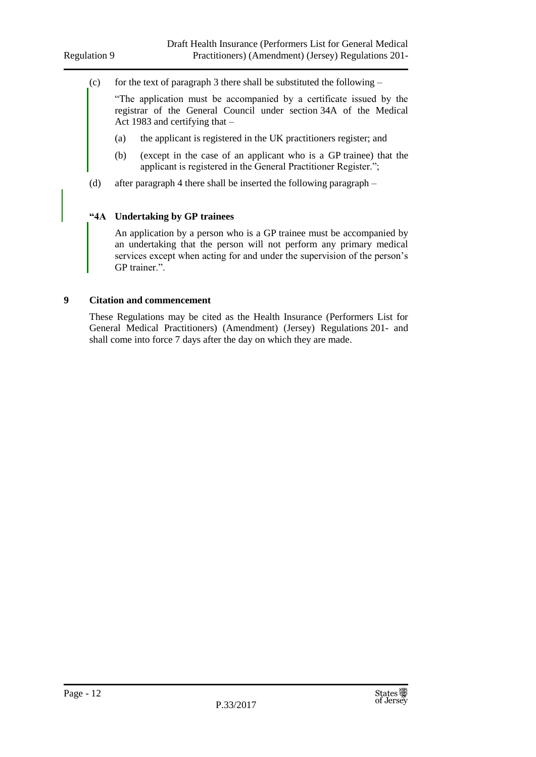(c) for the text of paragraph 3 there shall be substituted the following  $-$ 

"The application must be accompanied by a certificate issued by the registrar of the General Council under section 34A of the Medical Act 1983 and certifying that –

- (a) the applicant is registered in the UK practitioners register; and
- (b) (except in the case of an applicant who is a GP trainee) that the applicant is registered in the General Practitioner Register.";
- (d) after paragraph 4 there shall be inserted the following paragraph –

#### **"4A Undertaking by GP trainees**

An application by a person who is a GP trainee must be accompanied by an undertaking that the person will not perform any primary medical services except when acting for and under the supervision of the person's GP trainer.".

#### <span id="page-11-0"></span>**9 Citation and commencement**

These Regulations may be cited as the Health Insurance (Performers List for General Medical Practitioners) (Amendment) (Jersey) Regulations 201- and shall come into force 7 days after the day on which they are made.